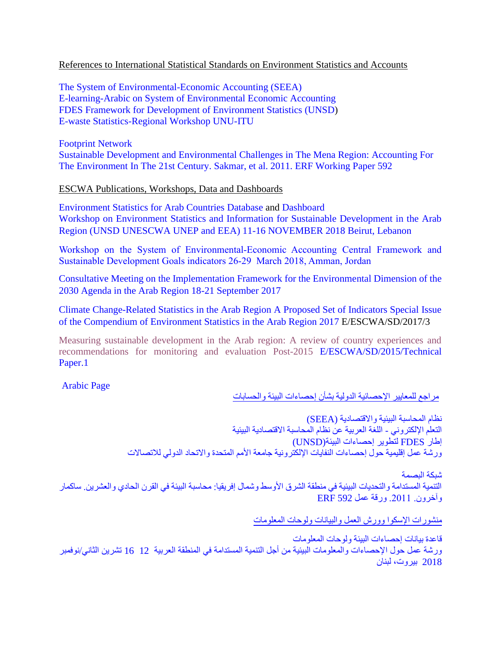## References to International Statistical Standards on Environment Statistics and Accounts

[The System of Environmental-Economic Accounting \(SEEA\)](https://seea.un.org/) E-learning-Arabic on [System of Environmental Economic Accounting](https://elearning-cms.unstats.un.org/learn/course/858) [FDES Framework for Development](https://unstats.un.org/unsd/envstats/fdes/manual_bses.cshtml) of Environment Statistics (UNSD) [E-waste Statistics-Regional](https://globalewaste.org/workshop/regional-training-workshop-on-e-waste-statistics-in-arab-region-tunisia/) Workshop UNU-ITU

[Footprint](https://www.footprintnetwork.org/resources/data/) Network [Sustainable Development and Environmental Challenges in The Mena Region: Accounting For](https://erf.org.eg/publications/sustainable-development-environmental-challenges-mena-region-accounting-environment-21st-century/)  [The Environment In The 21st Century.](https://erf.org.eg/publications/sustainable-development-environmental-challenges-mena-region-accounting-environment-21st-century/) Sakmar, et al. 2011. ERF Working Paper 592

ESCWA Publications, Workshops, Data and Dashboards

Environment [Statistics for Arab Countries](https://data.unescwa.org/content/3c0a1a0e-9bb1-432a-a3eb-1e2bc97775c) Database and [Dashboard](https://data.unescwa.org/portal/5a0c10bf-bb6f-458f-93d0-a4a6b495b0613d0-a4a6b495b0610-a4a6b495b061) [Workshop on Environment Statistics and Information for Sustainable Development in the Arab](https://www.unescwa.org/events/workshop-environment-statistics-and-information-sustainable-development-arab-region-unsd)  [Region \(UNSD UNESCWA UNEP and EEA\) 11-16 NOVEMBER](https://www.unescwa.org/events/workshop-environment-statistics-and-information-sustainable-development-arab-region-unsd) 2018 Beirut, Lebanon

[Workshop on the System of Environmental-Economic Accounting Central Framework and](https://www.unescwa.org/events/workshop-seea-central-framework-and-sdg%E2%80%99s-indicators)  [Sustainable Development Goals indicators](https://www.unescwa.org/events/workshop-seea-central-framework-and-sdg%E2%80%99s-indicators) 26-29 March 2018, Amman, Jordan

[Consultative Meeting on the Implementation Framework for the Environmental Dimension of the](https://www.unescwa.org/events/implementation-framework-environmental-2030-agenda-arab)  [2030 Agenda in the Arab Region 18-21 September 2017](https://www.unescwa.org/events/implementation-framework-environmental-2030-agenda-arab)

[Climate Change-Related Statistics in the Arab Region A Proposed Set of Indicators Special Issue](https://www.unescwa.org/sites/www.unescwa.org/files/publications/files/compendium-environment-statistics-arab-region-2016-2017-english.pdf)  [of the Compendium of Environment Statistics in the Arab Region 2017](https://www.unescwa.org/sites/www.unescwa.org/files/publications/files/compendium-environment-statistics-arab-region-2016-2017-english.pdf) E/ESCWA/SD/2017/3

[Measuring sustainable development in the Arab region: A review of country experiences and](https://www.unescwa.org/publications/measuring-sustainable-development-arab-region-review-country-experiences-and)  [recommendations for monitoring and evaluation Post-2015](https://www.unescwa.org/publications/measuring-sustainable-development-arab-region-review-country-experiences-and) E/ESCWA/SD/2015/Technical Paper.1

Arabic Page

مراجع للمعايير اإلحصائية الدولية بشأن إحصاءات البيئة والحسابات

[نظام المحاسبة البيئية واالقتصادية](https://seea.un.org/) [\(SEEA\(](https://seea.un.org/) التعلم اإللكتروني - [اللغة العربية عن نظام المحاسبة االقتصادية البيئية](https://elearning-cms.unstats.un.org/learn/course/858) إطار FDES [لتطوير إحصاءات البيئة\(UNSD\(](https://unstats.un.org/unsd/envstats/fdes/manual_bses.cshtml) ورشة عمل إقليمية حول إحصاءات النفايات الإلكترونية جامعة الأمم المتحدة والاتحاد الدولي للاتصالات

شبكة البصمة التنمية المستدامة والتحديات البيئية في منطقة الشرق الأوسط وشمال إفريقيا: محاسبة البيئة في القرن الحادي والعشرين. ساكمار وآخرون. .2011 ورقة عمل 592 ERF

منشورات اإلسكوا وورش العمل والبيانات ولوحات المعلومات

[قاعدة بيانات](https://data.unescwa.org/content/3c0a1a0e-9bb1-432a-a3eb-1e2bc97775c) إحصاءات البيئة [ولوحات المعلومات](https://data.unescwa.org/portal/5a0c10bf-bb6f-458f-93d0-a4a6b495b0613d0-a4a6b495b0610-a4a6b495b061) [ورشة عمل حول اإلحصاءات والمعلومات البيئية من أجل التنمية المستدامة في المنطقة العربية](https://www.unescwa.org/ar/events/%D9%88%D8%B1%D8%B4%D8%A9-%D8%B9%D9%85%D9%84-%D8%AD%D9%88%D9%84-%D8%A7%D9%84%D8%A5%D8%AD%D8%B5%D8%A7%D8%A1%D8%A7%D8%AA-%D9%88%D8%A7%D9%84%D9%85%D8%B9%D9%84%D9%88%D9%85%D8%A7%D8%AA-%D8%A7%D9%84%D8%A8%D9%8A%D8%A6%D9%8A%D8%A9-%D9%85%D9%86-%D8%A3%D8%AC%D9%84-%D8%A7%D9%84%D8%AA%D9%86%D9%85%D9%8A%D8%A9-%D8%A7%D9%84%D9%85%D8%B3%D8%AA%D8%AF%D8%A7%D9%85%D8%A9-%D9%81%D9%8A-%D8%A7%D9%84%D9%85%D9%86%D8%B7%D9%82%D8%A9-%D8%A7%D9%84%D8%B9%D8%B1%D8%A8%D9%8A%D8%A9) 12 16 تشرين الثاني/نوفمبر [2018 بيروت، لبنان](https://www.unescwa.org/ar/events/%D9%88%D8%B1%D8%B4%D8%A9-%D8%B9%D9%85%D9%84-%D8%AD%D9%88%D9%84-%D8%A7%D9%84%D8%A5%D8%AD%D8%B5%D8%A7%D8%A1%D8%A7%D8%AA-%D9%88%D8%A7%D9%84%D9%85%D8%B9%D9%84%D9%88%D9%85%D8%A7%D8%AA-%D8%A7%D9%84%D8%A8%D9%8A%D8%A6%D9%8A%D8%A9-%D9%85%D9%86-%D8%A3%D8%AC%D9%84-%D8%A7%D9%84%D8%AA%D9%86%D9%85%D9%8A%D8%A9-%D8%A7%D9%84%D9%85%D8%B3%D8%AA%D8%AF%D8%A7%D9%85%D8%A9-%D9%81%D9%8A-%D8%A7%D9%84%D9%85%D9%86%D8%B7%D9%82%D8%A9-%D8%A7%D9%84%D8%B9%D8%B1%D8%A8%D9%8A%D8%A9)